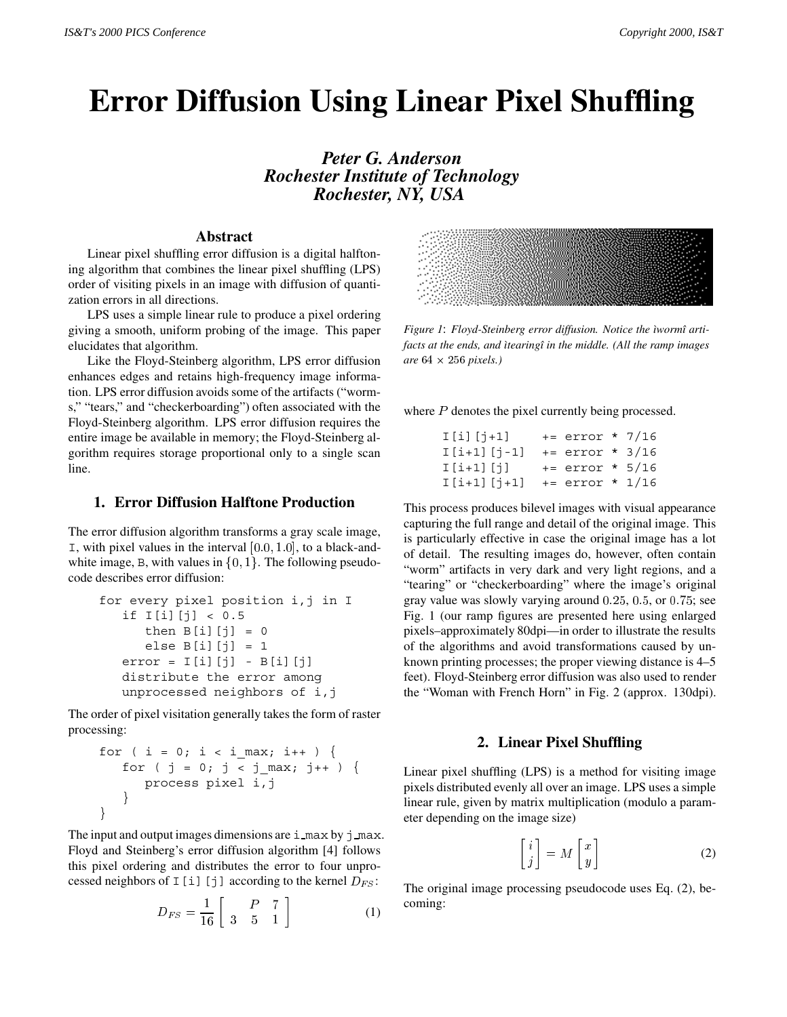# **Error Diffusion Using Linear Pixel Shuffling**

*Peter G. Anderson Rochester Institute of Technology Rochester, NY, USA*

### **Abstract**

Linear pixel shuffling error diffusion is a digital halftoning algorithm that combines the linear pixel shuffling (LPS) order of visiting pixels in an image with diffusion of quantization errors in all directions.

LPS uses a simple linear rule to produce a pixel ordering giving a smooth, uniform probing of the image. This paper elucidates that algorithm.

Like the Floyd-Steinberg algorithm, LPS error diffusion enhances edges and retains high-frequency image information. LPS error diffusion avoids some of the artifacts ("worms," "tears," and "checkerboarding") often associated with the Floyd-Steinberg algorithm. LPS error diffusion requires the entire image be available in memory; the Floyd-Steinberg algorithm requires storage proportional only to a single scan line.

## **1. Error Diffusion Halftone Production**

The error diffusion algorithm transforms a gray scale image,  $I$ , with pixel values in the interval  $[0.0, 1.0]$ , to a black-andwhite image, B, with values in  $\{0, 1\}$ . The following pseudocode describes error diffusion:

```
for every pixel position i,j in I
  if I[i][j] < 0.5then B[i][j] = 0else B[i][j] = 1error = I[i][j] - B[i][j]distribute the error among
  unprocessed neighbors of i,j
```
The order of pixel visitation generally takes the form of raster processing:

$$
\begin{array}{l}\n\text{for } (i = 0; i < i\_max; i++) {\{ \atop \text{for } (j = 0; j < j\_max; j++) \} } \\
\text{process pixel } i, j\n\end{array}
$$

The input and output images dimensions are  $\pm$  max by  $\pm$  max. Floyd and Steinberg's error diffusion algorithm [4] follows this pixel ordering and distributes the error to four unprocessed neighbors of I [i][j] according to the kernel  $D_{FS}$ :

$$
D_{FS} = \frac{1}{16} \left[ \begin{array}{cc} P & 7 \\ 3 & 5 & 1 \end{array} \right] \tag{1}
$$



*Figure 1*: *Floyd-Steinberg error diffusion. Notice the ìwormî artifacts at the ends, and ìtearingî in the middle. (All the ramp images are* <sup>64</sup> - <sup>256</sup> *pixels.)*

where P denotes the pixel currently being processed.

| $I[i][j+1]$   | $+=$ error * 7/16 |  |
|---------------|-------------------|--|
| $I[i+1][j-1]$ | $+=$ error * 3/16 |  |
| $I[i+1][j]$   | $+=$ error * 5/16 |  |
| I[i+1][j+1]   | $+=$ error * 1/16 |  |

This process produces bilevel images with visual appearance capturing the full range and detail of the original image. This is particularly effective in case the original image has a lot of detail. The resulting images do, however, often contain "worm" artifacts in very dark and very light regions, and a "tearing" or "checkerboarding" where the image's original gray value was slowly varying around  $0.25$ ,  $0.5$ , or  $0.75$ ; see Fig. 1 (our ramp figures are presented here using enlarged pixels–approximately 80dpi—in order to illustrate the results of the algorithms and avoid transformations caused by unknown printing processes; the proper viewing distance is 4–5 feet). Floyd-Steinberg error diffusion was also used to render the "Woman with French Horn" in Fig. 2 (approx. 130dpi).

#### **2. Linear Pixel Shuffling**

Linear pixel shuffling (LPS) is a method for visiting image pixels distributed evenly all over an image. LPS uses a simple linear rule, given by matrix multiplication (modulo a parameter depending on the image size)

$$
\begin{bmatrix} i \\ j \end{bmatrix} = M \begin{bmatrix} x \\ y \end{bmatrix}
$$
 (2)

The original image processing pseudocode uses Eq. (2), becoming: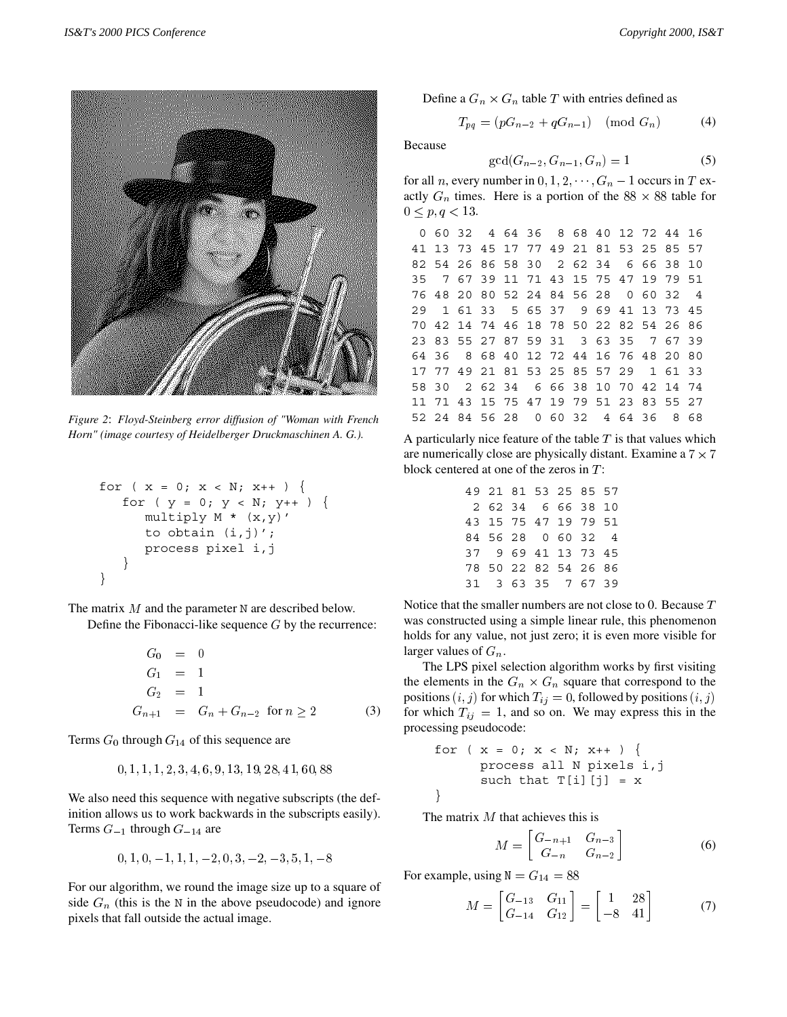

*Figure 2*: *Floyd-Steinberg error diffusion of "Woman with French Horn" (image courtesy of Heidelberger Druckmaschinen A. G.).*

$$
\begin{array}{lcl} \text{for } (x = 0; x < N; x++) < \\ \text{for } (y = 0; y < N; y++) < \\ & & \text{multiply } M * (x, y)' < \\ & & \text{to obtain } (i, j)'; \\ & & \text{process pixel } i, j \\ & & \end{array}
$$

The matrix  $M$  and the parameter N are described below.

Define the Fibonacci-like sequence  $G$  by the recurrence:

$$
G_0 = 0
$$
  
\n
$$
G_1 = 1
$$
  
\n
$$
G_2 = 1
$$
  
\n
$$
G_{n+1} = G_n + G_{n-2} \text{ for } n \ge 2
$$
 (3)

Terms  $G_0$  through  $G_{14}$  of this sequence are

$$
0,1,1,1,2,3,4,6,9,13,1\,9,2\,8,4\,1,6\,0,88
$$

We also need this sequence with negative subscripts (the definition allows us to work backwards in the subscripts easily). Terms  $G_{-1}$  through  $G_{-14}$  are

$$
0, 1, 0, -1, 1, 1, -2, 0, 3, -2, -3, 5, 1, -8
$$

For our algorithm, we round the image size up to a square of side  $G_n$  (this is the N in the above pseudocode) and ignore pixels that fall outside the actual image.

Define a  $G_n \times G_n$  table T with entries defined as

$$
T_{pq} = (pG_{n-2} + qG_{n-1}) \pmod{G_n}
$$
 (4)

Because

$$
\gcd(G_{n-2}, G_{n-1}, G_n) = 1\tag{5}
$$

for all *n*, every number in  $0, 1, 2, \dots, G_n - 1$  occurs in T exactly  $G_n$  times. Here is a portion of the 88  $\times$  88 table for  $0 \le p, q < 13.$ 

|  |  | 0 60 32 4 64 36 8 68 40 12 72 44 16    |  |  |  |                |
|--|--|----------------------------------------|--|--|--|----------------|
|  |  | 41 13 73 45 17 77 49 21 81 53 25 85 57 |  |  |  |                |
|  |  | 82 54 26 86 58 30 2 62 34 6 66 38 10   |  |  |  |                |
|  |  | 35 7 67 39 11 71 43 15 75 47 19 79 51  |  |  |  |                |
|  |  | 76 48 20 80 52 24 84 56 28 0 60 32     |  |  |  | $\overline{4}$ |
|  |  | 29 1 61 33 5 65 37 9 69 41 13 73 45    |  |  |  |                |
|  |  | 70 42 14 74 46 18 78 50 22 82 54 26 86 |  |  |  |                |
|  |  | 23 83 55 27 87 59 31 3 63 35 7 67 39   |  |  |  |                |
|  |  | 64 36 8 68 40 12 72 44 16 76 48 20 80  |  |  |  |                |
|  |  | 17 77 49 21 81 53 25 85 57 29 1 61 33  |  |  |  |                |
|  |  | 58 30 2 62 34 6 66 38 10 70 42 14 74   |  |  |  |                |
|  |  | 11 71 43 15 75 47 19 79 51 23 83 55 27 |  |  |  |                |
|  |  | 52 24 84 56 28 0 60 32 4 64 36 8 68    |  |  |  |                |

A particularly nice feature of the table  $T$  is that values which are numerically close are physically distant. Examine a  $7 \times 7$  $7<sup>1</sup>$ block centered at one of the zeros in  $T$ :

| 49 21 81 53 25 85 57 |  |  |  |
|----------------------|--|--|--|
| 2 62 34 6 66 38 10   |  |  |  |
| 43 15 75 47 19 79 51 |  |  |  |
| 84 56 28 0 60 32 4   |  |  |  |
| 37 9 69 41 13 73 45  |  |  |  |
| 78 50 22 82 54 26 86 |  |  |  |
| 31 3 63 35 7 67 39   |  |  |  |

Notice that the smaller numbers are not close to 0. Because <sup>T</sup> was constructed using a simple linear rule, this phenomenon holds for any value, not just zero; it is even more visible for larger values of  $G_n$ .

The LPS pixel selection algorithm works by first visiting the elements in the  $G_n \times G_n$  square that correspond to the positions  $(i, j)$  for which  $T_{ij} = 0$ , followed by positions  $(i, j)$ for which  $T_{ij} = 1$ , and so on. We may express this in the processing pseudocode:

$$
\begin{array}{ll}\n\text{for } (x = 0; x < N; x++) \{ \\
\text{process all N pixels i, j} \\
\text{such that T[i][j] = x}\n\end{array}
$$

The matrix  $M$  that achieves this is

$$
M = \begin{bmatrix} G_{-n+1} & G_{n-3} \\ G_{-n} & G_{n-2} \end{bmatrix} \tag{6}
$$

For example, using  $N = G_{14} = 88$ 

$$
M = \begin{bmatrix} G_{-13} & G_{11} \\ G_{-14} & G_{12} \end{bmatrix} = \begin{bmatrix} 1 & 28 \\ -8 & 41 \end{bmatrix} \tag{7}
$$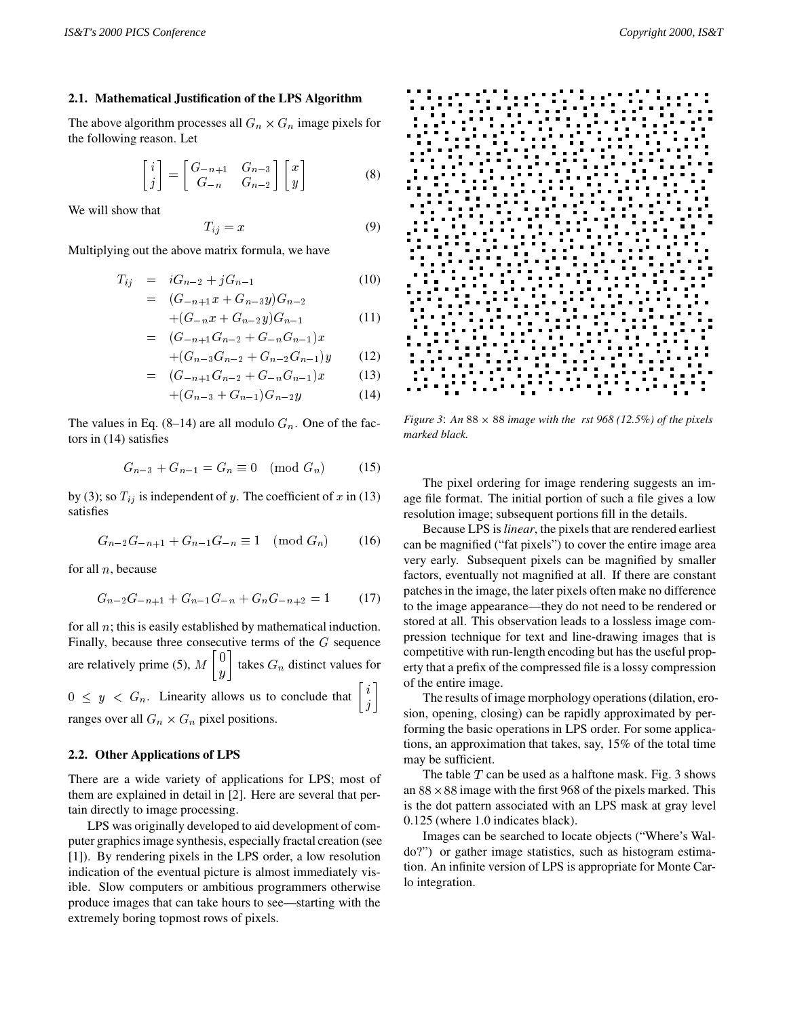#### **2.1. Mathematical Justification of the LPS Algorithm**

The above algorithm processes all  $G_n \times G_n$  image pixels for the following reason. Let

$$
\begin{bmatrix} i \\ j \end{bmatrix} = \begin{bmatrix} G_{-n+1} & G_{n-3} \\ G_{-n} & G_{n-2} \end{bmatrix} \begin{bmatrix} x \\ y \end{bmatrix}
$$
 (8)

We will show that

$$
T_{ij} = x \tag{9}
$$

Multiplying out the above matrix formula, we have

$$
T_{ij} = iG_{n-2} + jG_{n-1}
$$
 (10)

$$
= (G_{-n+1}x + G_{n-3}y)G_{n-2}
$$
  
+(G\_{-n}x + G\_{n-2}y)G\_{n-1} (11)

$$
= (G_{-n+1}G_{n-2} + G_{-n}G_{n-1})x
$$

$$
+(G_{n-3}G_{n-2} + G_{n-2}G_{n-1})y \t(12)
$$
  
=  $(G_{-n+1}G_{n-2} + G_{-n}G_{n-1})x \t(13)$ 

$$
+(G_{n-3}+G_{n-1})G_{n-2}y \t\t(14)
$$

The values in Eq. (8–14) are all modulo  $G_n$ . One of the factors in (14) satisfies

$$
G_{n-3} + G_{n-1} = G_n \equiv 0 \pmod{G_n} \tag{15}
$$

by (3); so  $T_{ij}$  is independent of y. The coefficient of x in (13) satisfies

$$
G_{n-2}G_{-n+1} + G_{n-1}G_{-n} \equiv 1 \pmod{G_n} \tag{16}
$$

for all  $n$ , because

$$
G_{n-2}G_{-n+1} + G_{n-1}G_{-n} + G_nG_{-n+2} = 1 \tag{17}
$$

for all  $n$ ; this is easily established by mathematical induction. Finally, because three consecutive terms of the  $G$  sequence are relatively prime (5),  $M\begin{bmatrix} 0 \\ y \end{bmatrix}$  takes  $G_n$  distinct values for  $0 \leq y < G_n$ . Linearity allows us to conclude that  $\begin{bmatrix} i \\ i \end{bmatrix}$ 

ranges over all  $G_n \times G_n$  pixel positions.

#### **2.2. Other Applications of LPS**

There are a wide variety of applications for LPS; most of them are explained in detail in [2]. Here are several that pertain directly to image processing.

LPS was originally developed to aid development of computer graphics image synthesis, especially fractal creation (see [1]). By rendering pixels in the LPS order, a low resolution indication of the eventual picture is almost immediately visible. Slow computers or ambitious programmers otherwise produce images that can take hours to see—starting with the extremely boring topmost rows of pixels.



*Figure 3: An*  $88 \times 88$  *image with the rst 968 (12.5%) of the pixels marked black.*

The pixel ordering for image rendering suggests an image file format. The initial portion of such a file gives a low resolution image; subsequent portions fill in the details.

Because LPS is *linear*, the pixels that are rendered earliest can be magnified ("fat pixels") to cover the entire image area very early. Subsequent pixels can be magnified by smaller factors, eventually not magnified at all. If there are constant patches in the image, the later pixels often make no difference to the image appearance—they do not need to be rendered or stored at all. This observation leads to a lossless image compression technique for text and line-drawing images that is competitive with run-length encoding but has the useful property that a prefix of the compressed file is a lossy compression of the entire image.

 $\begin{bmatrix} i \\ i \end{bmatrix}$  or the The results of image morphology operations (dilation, erosion, opening, closing) can be rapidly approximated by performing the basic operations in LPS order. For some applications, an approximation that takes, say, 15% of the total time may be sufficient.

> The table  $T$  can be used as a halftone mask. Fig. 3 shows an  $88 \times 88$  image with the first 968 of the pixels marked. This is the dot pattern associated with an LPS mask at gray level 0.125 (where 1.0 indicates black).

> Images can be searched to locate objects ("Where's Waldo?") or gather image statistics, such as histogram estimation. An infinite version of LPS is appropriate for Monte Carlo integration.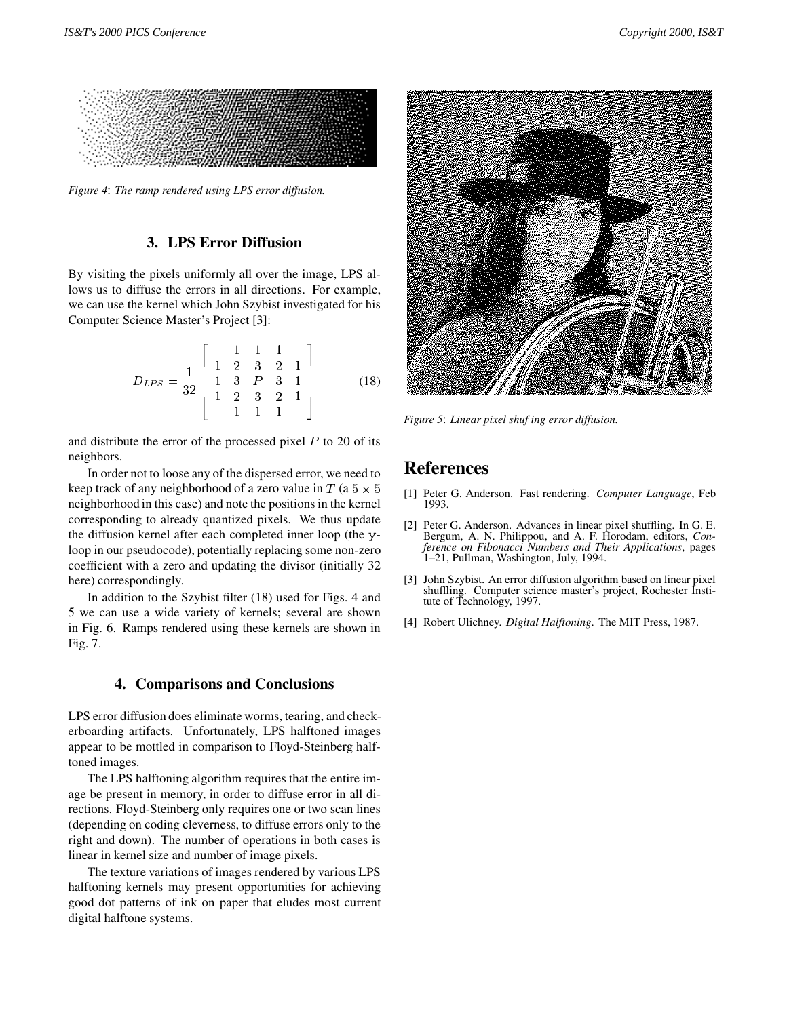

*Figure 4*: *The ramp rendered using LPS error diffusion.*

## **3. LPS Error Diffusion**

By visiting the pixels uniformly all over the image, LPS allows us to diffuse the errors in all directions. For example, we can use the kernel which John Szybist investigated for his Computer Science Master's Project [3]:

$$
D_{LPS} = \frac{1}{32} \left[ \begin{array}{rrrrr} 1 & 1 & 1 & 1 \\ 1 & 2 & 3 & 2 & 1 \\ 1 & 3 & P & 3 & 1 \\ 1 & 2 & 3 & 2 & 1 \\ 1 & 1 & 1 & 1 \end{array} \right] \tag{18}
$$

and distribute the error of the processed pixel  $P$  to 20 of its neighbors.

In order not to loose any of the dispersed error, we need to keep track of any neighborhood of a zero value in  $T$  (a  $5 \times 5$ neighborhood in this case) and note the positions in the kernel corresponding to already quantized pixels. We thus update the diffusion kernel after each completed inner loop (the yloop in our pseudocode), potentially replacing some non-zero coefficient with a zero and updating the divisor (initially 32 here) correspondingly.

In addition to the Szybist filter (18) used for Figs. 4 and 5 we can use a wide variety of kernels; several are shown in Fig. 6. Ramps rendered using these kernels are shown in Fig. 7.

#### **4. Comparisons and Conclusions**

LPS error diffusion does eliminate worms, tearing, and checkerboarding artifacts. Unfortunately, LPS halftoned images appear to be mottled in comparison to Floyd-Steinberg halftoned images.

The LPS halftoning algorithm requires that the entire image be present in memory, in order to diffuse error in all directions. Floyd-Steinberg only requires one or two scan lines (depending on coding cleverness, to diffuse errors only to the right and down). The number of operations in both cases is linear in kernel size and number of image pixels.

The texture variations of images rendered by various LPS halftoning kernels may present opportunities for achieving good dot patterns of ink on paper that eludes most current digital halftone systems.



*Figure 5*: *Linear pixel shufing error diffusion.*

# **References**

- <sup>5</sup> [1] Peter G. Anderson. Fast rendering. *Computer Language*, Feb 1993.
	- [2] Peter G. Anderson. Advances in linear pixel shuffling. In G. E. Bergum, A. N. Philippou, and A. F. Horodam, editors, *Conference on Fibonacci Numbers and Their Applications*, pages 1–21, Pullman, Washington, July, 1994.
	- [3] John Szybist. An error diffusion algorithm based on linear pixel shuffling. Computer science master's project, Rochester Institute of Technology, 1997.
	- [4] Robert Ulichney. *Digital Halftoning*. The MIT Press, 1987.